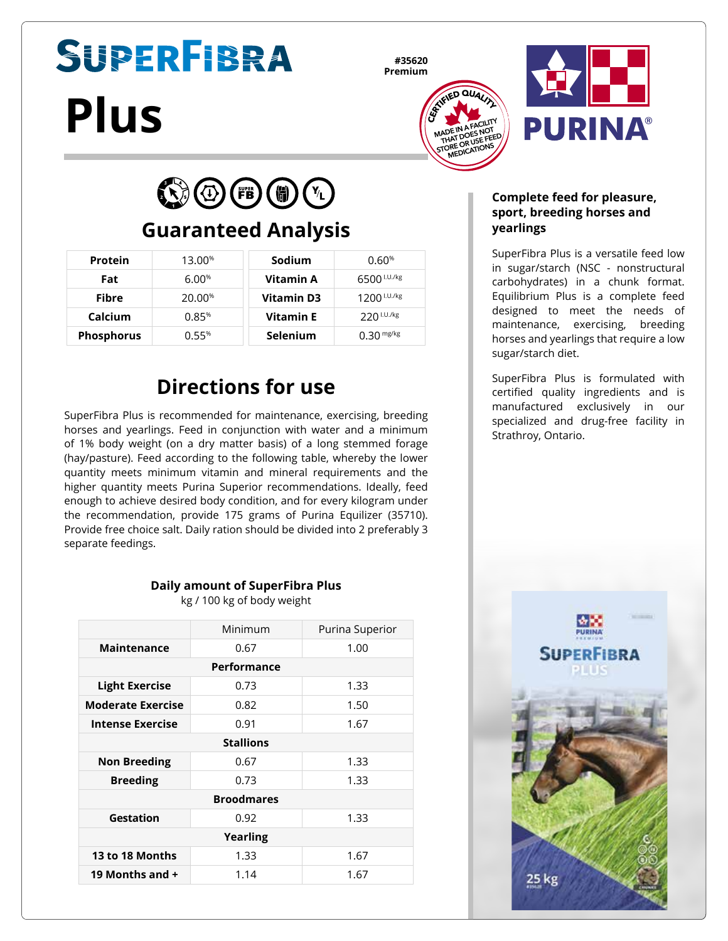# **SUPERFIBRA Plus**

**#35620 Premium**





 $\bigodot$   $\bigodot$  (FB)  $\bigodot$  (T)

## **Guaranteed Analysis**

| <b>Protein</b>    | 13.00%             | Sodium           | 0.60%                   |
|-------------------|--------------------|------------------|-------------------------|
| Fat               | 6.00%              | Vitamin A        | 6500 <sup>I.U./kg</sup> |
| <b>Fibre</b>      | 20.00 <sup>%</sup> | Vitamin D3       | $1200$ $1.0$ ./kg       |
| Calcium           | 0.85%              | <b>Vitamin E</b> | $220$ I.U./kg           |
| <b>Phosphorus</b> | 0.55%              | <b>Selenium</b>  | $0.30$ mg/kg            |

## **Directions for use**

SuperFibra Plus is recommended for maintenance, exercising, breeding horses and yearlings. Feed in conjunction with water and a minimum of 1% body weight (on a dry matter basis) of a long stemmed forage (hay/pasture). Feed according to the following table, whereby the lower quantity meets minimum vitamin and mineral requirements and the higher quantity meets Purina Superior recommendations. Ideally, feed enough to achieve desired body condition, and for every kilogram under the recommendation, provide 175 grams of Purina Equilizer (35710). Provide free choice salt. Daily ration should be divided into 2 preferably 3 separate feedings.

#### **Daily amount of SuperFibra Plus**

kg / 100 kg of body weight

|                          | Minimum | Purina Superior |  |  |  |
|--------------------------|---------|-----------------|--|--|--|
| Maintenance              | 0.67    | 1.00            |  |  |  |
| Performance              |         |                 |  |  |  |
| <b>Light Exercise</b>    | 0.73    | 1.33            |  |  |  |
| <b>Moderate Exercise</b> | 0.82    | 1.50            |  |  |  |
| Intense Exercise         | 0.91    | 1.67            |  |  |  |
| <b>Stallions</b>         |         |                 |  |  |  |
| <b>Non Breeding</b>      | 0.67    | 1.33            |  |  |  |
| <b>Breeding</b>          | 0.73    | 1.33            |  |  |  |
| <b>Broodmares</b>        |         |                 |  |  |  |
| <b>Gestation</b>         | 0.92    | 1.33            |  |  |  |
| <b>Yearling</b>          |         |                 |  |  |  |
| 13 to 18 Months          | 1.33    | 1.67            |  |  |  |
| 19 Months and +          | 1.14    | 1.67            |  |  |  |

#### **Complete feed for pleasure, sport, breeding horses and yearlings**

SuperFibra Plus is a versatile feed low in sugar/starch (NSC - nonstructural carbohydrates) in a chunk format. Equilibrium Plus is a complete feed designed to meet the needs of maintenance, exercising, breeding horses and yearlings that require a low sugar/starch diet.

SuperFibra Plus is formulated with certified quality ingredients and is manufactured exclusively in our specialized and drug-free facility in Strathroy, Ontario.